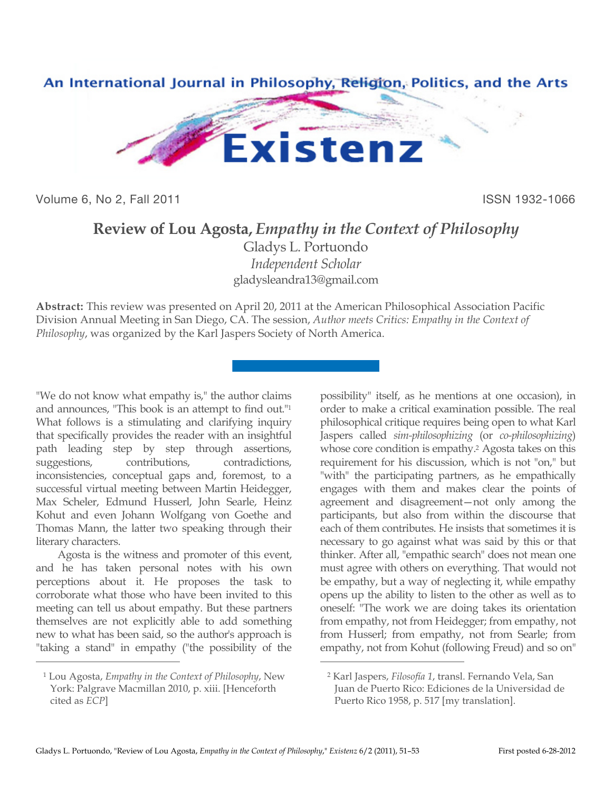

Volume 6, No 2, Fall 2011 **ISSN 1932-1066** 

## **Review of Lou Agosta,** *Empathy in the Context of Philosophy*

Gladys L. Portuondo *Independent Scholar* gladysleandra13@gmail.com

 $\overline{a}$ 

**Abstract:** This review was presented on April 20, 2011 at the American Philosophical Association Pacific Division Annual Meeting in San Diego, CA. The session, *Author meets Critics: Empathy in the Context of Philosophy*, was organized by the Karl Jaspers Society of North America.

"We do not know what empathy is," the author claims and announces, "This book is an attempt to find out."1 What follows is a stimulating and clarifying inquiry that specifically provides the reader with an insightful path leading step by step through assertions, suggestions, contributions, contradictions, inconsistencies, conceptual gaps and, foremost, to a successful virtual meeting between Martin Heidegger, Max Scheler, Edmund Husserl, John Searle, Heinz Kohut and even Johann Wolfgang von Goethe and Thomas Mann, the latter two speaking through their literary characters.

Agosta is the witness and promoter of this event, and he has taken personal notes with his own perceptions about it. He proposes the task to corroborate what those who have been invited to this meeting can tell us about empathy. But these partners themselves are not explicitly able to add something new to what has been said, so the author's approach is "taking a stand" in empathy ("the possibility of the

 $\overline{a}$ 

possibility" itself, as he mentions at one occasion), in order to make a critical examination possible. The real philosophical critique requires being open to what Karl Jaspers called *sim-philosophizing* (or *co-philosophizing*) whose core condition is empathy.<sup>2</sup> Agosta takes on this requirement for his discussion, which is not "on," but "with" the participating partners, as he empathically engages with them and makes clear the points of agreement and disagreement—not only among the participants, but also from within the discourse that each of them contributes. He insists that sometimes it is necessary to go against what was said by this or that thinker. After all, "empathic search" does not mean one must agree with others on everything. That would not be empathy, but a way of neglecting it, while empathy opens up the ability to listen to the other as well as to oneself: "The work we are doing takes its orientation from empathy, not from Heidegger; from empathy, not from Husserl; from empathy, not from Searle; from empathy, not from Kohut (following Freud) and so on"

<sup>1</sup> Lou Agosta, *Empathy in the Context of Philosophy*, New York: Palgrave Macmillan 2010, p. xiii. [Henceforth cited as *ECP*]

<sup>2</sup> Karl Jaspers, *Filosofía 1*, transl. Fernando Vela, San Juan de Puerto Rico: Ediciones de la Universidad de Puerto Rico 1958, p. 517 [my translation].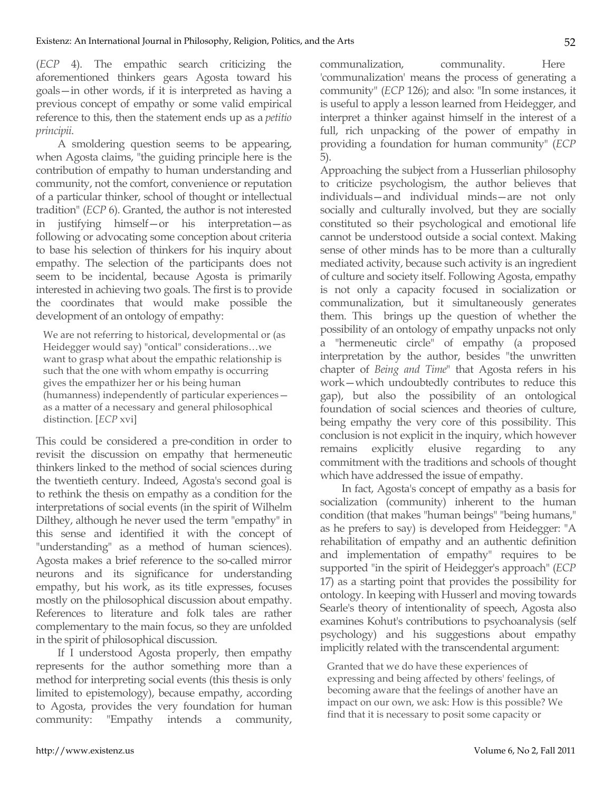(*ECP* 4). The empathic search criticizing the aforementioned thinkers gears Agosta toward his goals—in other words, if it is interpreted as having a previous concept of empathy or some valid empirical reference to this, then the statement ends up as a *petitio principii*.

A smoldering question seems to be appearing, when Agosta claims, "the guiding principle here is the contribution of empathy to human understanding and community, not the comfort, convenience or reputation of a particular thinker, school of thought or intellectual tradition" (*ECP* 6). Granted, the author is not interested in justifying himself—or his interpretation—as following or advocating some conception about criteria to base his selection of thinkers for his inquiry about empathy. The selection of the participants does not seem to be incidental, because Agosta is primarily interested in achieving two goals. The first is to provide the coordinates that would make possible the development of an ontology of empathy:

We are not referring to historical, developmental or (as Heidegger would say) "ontical" considerations…we want to grasp what about the empathic relationship is such that the one with whom empathy is occurring gives the empathizer her or his being human (humanness) independently of particular experiences as a matter of a necessary and general philosophical distinction. [*ECP* xvi]

This could be considered a pre-condition in order to revisit the discussion on empathy that hermeneutic thinkers linked to the method of social sciences during the twentieth century. Indeed, Agosta's second goal is to rethink the thesis on empathy as a condition for the interpretations of social events (in the spirit of Wilhelm Dilthey, although he never used the term "empathy" in this sense and identified it with the concept of "understanding" as a method of human sciences). Agosta makes a brief reference to the so-called mirror neurons and its significance for understanding empathy, but his work, as its title expresses, focuses mostly on the philosophical discussion about empathy. References to literature and folk tales are rather complementary to the main focus, so they are unfolded in the spirit of philosophical discussion.

If I understood Agosta properly, then empathy represents for the author something more than a method for interpreting social events (this thesis is only limited to epistemology), because empathy, according to Agosta, provides the very foundation for human community: "Empathy intends a community,

communalization, communality. Here 'communalization' means the process of generating a community" (*ECP* 126); and also: "In some instances, it is useful to apply a lesson learned from Heidegger, and interpret a thinker against himself in the interest of a full, rich unpacking of the power of empathy in providing a foundation for human community" (*ECP* 5).

Approaching the subject from a Husserlian philosophy to criticize psychologism, the author believes that individuals—and individual minds—are not only socially and culturally involved, but they are socially constituted so their psychological and emotional life cannot be understood outside a social context. Making sense of other minds has to be more than a culturally mediated activity, because such activity is an ingredient of culture and society itself. Following Agosta, empathy is not only a capacity focused in socialization or communalization, but it simultaneously generates them. This brings up the question of whether the possibility of an ontology of empathy unpacks not only a "hermeneutic circle" of empathy (a proposed interpretation by the author, besides "the unwritten chapter of *Being and Time*" that Agosta refers in his work—which undoubtedly contributes to reduce this gap), but also the possibility of an ontological foundation of social sciences and theories of culture, being empathy the very core of this possibility. This conclusion is not explicit in the inquiry, which however remains explicitly elusive regarding to any commitment with the traditions and schools of thought which have addressed the issue of empathy.

In fact, Agosta's concept of empathy as a basis for socialization (community) inherent to the human condition (that makes "human beings" "being humans," as he prefers to say) is developed from Heidegger: "A rehabilitation of empathy and an authentic definition and implementation of empathy" requires to be supported "in the spirit of Heidegger's approach" (*ECP* 17) as a starting point that provides the possibility for ontology. In keeping with Husserl and moving towards Searle's theory of intentionality of speech, Agosta also examines Kohut's contributions to psychoanalysis (self psychology) and his suggestions about empathy implicitly related with the transcendental argument:

Granted that we do have these experiences of expressing and being affected by others' feelings, of becoming aware that the feelings of another have an impact on our own, we ask: How is this possible? We find that it is necessary to posit some capacity or